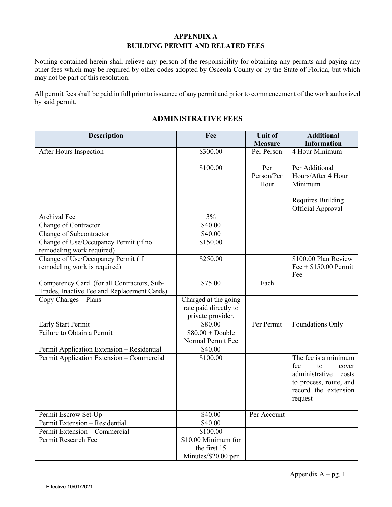### **APPENDIX A BUILDING PERMIT AND RELATED FEES**

Nothing contained herein shall relieve any person of the responsibility for obtaining any permits and paying any other fees which may be required by other codes adopted by Osceola County or by the State of Florida, but which may not be part of this resolution.

All permit fees shall be paid in full prior to issuance of any permit and prior to commencement of the work authorized by said permit.

## **ADMINISTRATIVE FEES**

| <b>Description</b>                          | Fee                   | <b>Unit of</b><br><b>Measure</b> | <b>Additional</b><br><b>Information</b>        |
|---------------------------------------------|-----------------------|----------------------------------|------------------------------------------------|
| After Hours Inspection                      | \$300.00              | Per Person                       | 4 Hour Minimum                                 |
|                                             |                       |                                  |                                                |
|                                             | \$100.00              | Per                              | Per Additional                                 |
|                                             |                       | Person/Per                       | Hours/After 4 Hour                             |
|                                             |                       | Hour                             | Minimum                                        |
|                                             |                       |                                  |                                                |
|                                             |                       |                                  | Requires Building                              |
|                                             |                       |                                  | Official Approval                              |
| Archival Fee                                | 3%                    |                                  |                                                |
| Change of Contractor                        | $\overline{$}40.00$   |                                  |                                                |
| Change of Subcontractor                     | \$40.00               |                                  |                                                |
| Change of Use/Occupancy Permit (if no       | \$150.00              |                                  |                                                |
| remodeling work required)                   |                       |                                  |                                                |
| Change of Use/Occupancy Permit (if          | \$250.00              |                                  | \$100.00 Plan Review                           |
| remodeling work is required)                |                       |                                  | Fee $+$ \$150.00 Permit                        |
|                                             |                       |                                  | Fee                                            |
| Competency Card (for all Contractors, Sub-  | \$75.00               | Each                             |                                                |
| Trades, Inactive Fee and Replacement Cards) |                       |                                  |                                                |
| Copy Charges - Plans                        | Charged at the going  |                                  |                                                |
|                                             | rate paid directly to |                                  |                                                |
|                                             | private provider.     |                                  |                                                |
| Early Start Permit                          | \$80.00               | Per Permit                       | Foundations Only                               |
| Failure to Obtain a Permit                  | $$80.00 + Double$     |                                  |                                                |
|                                             | Normal Permit Fee     |                                  |                                                |
| Permit Application Extension - Residential  | \$40.00               |                                  |                                                |
| Permit Application Extension - Commercial   | \$100.00              |                                  | The fee is a minimum                           |
|                                             |                       |                                  | fee<br>to<br>cover                             |
|                                             |                       |                                  | administrative<br>costs                        |
|                                             |                       |                                  | to process, route, and<br>record the extension |
|                                             |                       |                                  | request                                        |
|                                             |                       |                                  |                                                |
| Permit Escrow Set-Up                        | \$40.00               | Per Account                      |                                                |
| Permit Extension - Residential              | \$40.00               |                                  |                                                |
| Permit Extension - Commercial               | \$100.00              |                                  |                                                |
| Permit Research Fee                         | \$10.00 Minimum for   |                                  |                                                |
|                                             | the first 15          |                                  |                                                |
|                                             | Minutes/\$20.00 per   |                                  |                                                |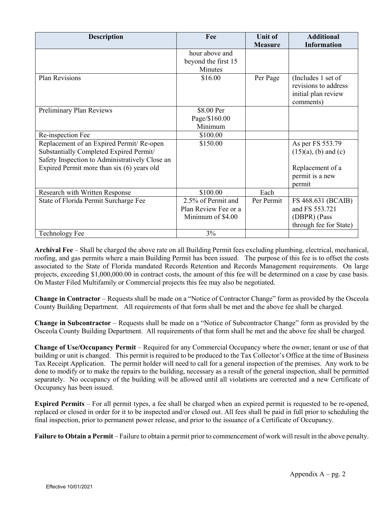| <b>Description</b>                             | Fee                  | <b>Unit of</b> | <b>Additional</b>       |
|------------------------------------------------|----------------------|----------------|-------------------------|
|                                                |                      | <b>Measure</b> | <b>Information</b>      |
|                                                | hour above and       |                |                         |
|                                                | beyond the first 15  |                |                         |
|                                                | Minutes              |                |                         |
| <b>Plan Revisions</b>                          | \$16.00              | Per Page       | (Includes 1 set of      |
|                                                |                      |                | revisions to address    |
|                                                |                      |                | initial plan review     |
|                                                |                      |                | comments)               |
| Preliminary Plan Reviews                       | \$8.00 Per           |                |                         |
|                                                | Page/\$160.00        |                |                         |
|                                                | Minimum              |                |                         |
| Re-inspection Fee                              | \$100.00             |                |                         |
| Replacement of an Expired Permit/Re-open       | \$150.00             |                | As per FS 553.79        |
| Substantially Completed Expired Permit/        |                      |                | $(15)(a)$ , (b) and (c) |
| Safety Inspection to Administratively Close an |                      |                |                         |
| Expired Permit more than six (6) years old     |                      |                | Replacement of a        |
|                                                |                      |                | permit is a new         |
|                                                |                      |                | permit                  |
| Research with Written Response                 | \$100.00             | Each           |                         |
| State of Florida Permit Surcharge Fee          | 2.5% of Permit and   | Per Permit     | FS 468.631 (BCAIB)      |
|                                                | Plan Review Fee or a |                | and FS 553.721          |
|                                                | Minimum of \$4.00    |                | (DBPR) (Pass            |
|                                                |                      |                | through fee for State)  |
| <b>Technology Fee</b>                          | 3%                   |                |                         |

**Archival Fee** – Shall be charged the above rate on all Building Permit fees excluding plumbing, electrical, mechanical, roofing, and gas permits where a main Building Permit has been issued. The purpose of this fee is to offset the costs associated to the State of Florida mandated Records Retention and Records Management requirements. On large projects, exceeding \$1,000,000.00 in contract costs, the amount of this fee will be determined on a case by case basis. On Master Filed Multifamily or Commercial projects this fee may also be negotiated.

**Change in Contractor** – Requests shall be made on a "Notice of Contractor Change" form as provided by the Osceola County Building Department. All requirements of that form shall be met and the above fee shall be charged.

**Change in Subcontractor** – Requests shall be made on a "Notice of Subcontractor Change" form as provided by the Osceola County Building Department. All requirements of that form shall be met and the above fee shall be charged.

**Change of Use/Occupancy Permit** – Required for any Commercial Occupancy where the owner, tenant or use of that building or unit is changed. This permit is required to be produced to the Tax Collector's Office at the time of Business Tax Receipt Application. The permit holder will need to call for a general inspection of the premises. Any work to be done to modify or to make the repairs to the building, necessary as a result of the general inspection, shall be permitted separately. No occupancy of the building will be allowed until all violations are corrected and a new Certificate of Occupancy has been issued.

**Expired Permits** – For all permit types, a fee shall be charged when an expired permit is requested to be re-opened, replaced or closed in order for it to be inspected and/or closed out. All fees shall be paid in full prior to scheduling the final inspection, prior to permanent power release, and prior to the issuance of a Certificate of Occupancy.

**Failure to Obtain a Permit** – Failure to obtain a permit prior to commencement of work will result in the above penalty.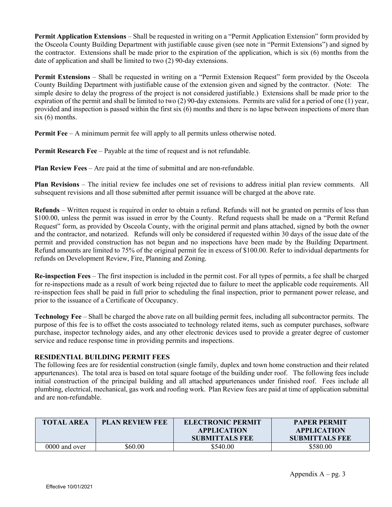**Permit Application Extensions** – Shall be requested in writing on a "Permit Application Extension" form provided by the Osceola County Building Department with justifiable cause given (see note in "Permit Extensions") and signed by the contractor. Extensions shall be made prior to the expiration of the application, which is six (6) months from the date of application and shall be limited to two (2) 90-day extensions.

**Permit Extensions** – Shall be requested in writing on a "Permit Extension Request" form provided by the Osceola County Building Department with justifiable cause of the extension given and signed by the contractor. (Note: The simple desire to delay the progress of the project is not considered justifiable.) Extensions shall be made prior to the expiration of the permit and shall be limited to two (2) 90-day extensions. Permits are valid for a period of one (1) year, provided and inspection is passed within the first six (6) months and there is no lapse between inspections of more than  $six(6)$  months.

**Permit Fee** – A minimum permit fee will apply to all permits unless otherwise noted.

**Permit Research Fee** – Payable at the time of request and is not refundable.

**Plan Review Fees** – Are paid at the time of submittal and are non-refundable.

**Plan Revisions** – The initial review fee includes one set of revisions to address initial plan review comments. All subsequent revisions and all those submitted after permit issuance will be charged at the above rate.

**Refunds** – Written request is required in order to obtain a refund. Refunds will not be granted on permits of less than \$100.00, unless the permit was issued in error by the County. Refund requests shall be made on a "Permit Refund Request" form, as provided by Osceola County, with the original permit and plans attached, signed by both the owner and the contractor, and notarized. Refunds will only be considered if requested within 30 days of the issue date of the permit and provided construction has not begun and no inspections have been made by the Building Department. Refund amounts are limited to 75% of the original permit fee in excess of \$100.00. Refer to individual departments for refunds on Development Review, Fire, Planning and Zoning.

**Re-inspection Fees** – The first inspection is included in the permit cost. For all types of permits, a fee shall be charged for re-inspections made as a result of work being rejected due to failure to meet the applicable code requirements. All re-inspection fees shall be paid in full prior to scheduling the final inspection, prior to permanent power release, and prior to the issuance of a Certificate of Occupancy.

**Technology Fee** – Shall be charged the above rate on all building permit fees, including all subcontractor permits. The purpose of this fee is to offset the costs associated to technology related items, such as computer purchases, software purchase, inspector technology aides, and any other electronic devices used to provide a greater degree of customer service and reduce response time in providing permits and inspections.

#### **RESIDENTIAL BUILDING PERMIT FEES**

The following fees are for residential construction (single family, duplex and town home construction and their related appurtenances). The total area is based on total square footage of the building under roof. The following fees include initial construction of the principal building and all attached appurtenances under finished roof. Fees include all plumbing, electrical, mechanical, gas work and roofing work. Plan Review fees are paid at time of application submittal and are non-refundable.

| <b>TOTAL AREA</b> | <b>PLAN REVIEW FEE</b> | <b>ELECTRONIC PERMIT</b><br><b>APPLICATION</b><br><b>SUBMITTALS FEE</b> | <b>PAPER PERMIT</b><br><b>APPLICATION</b><br><b>SUBMITTALS FEE</b> |
|-------------------|------------------------|-------------------------------------------------------------------------|--------------------------------------------------------------------|
| 0000 and over     | 560.00                 | \$540.00                                                                | \$580.00                                                           |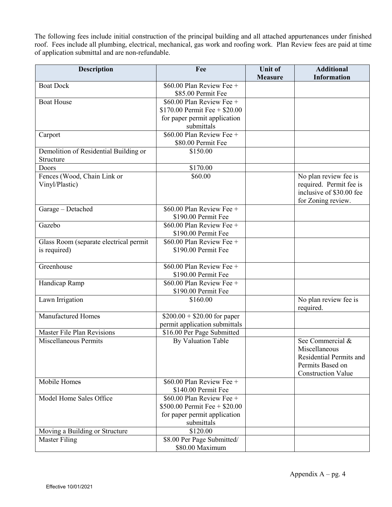The following fees include initial construction of the principal building and all attached appurtenances under finished roof. Fees include all plumbing, electrical, mechanical, gas work and roofing work. Plan Review fees are paid at time of application submittal and are non-refundable.

| <b>Description</b>                     | Fee                                               | <b>Unit of</b> | <b>Additional</b>                        |
|----------------------------------------|---------------------------------------------------|----------------|------------------------------------------|
|                                        |                                                   | <b>Measure</b> | <b>Information</b>                       |
| <b>Boat Dock</b>                       | \$60.00 Plan Review Fee +                         |                |                                          |
|                                        | \$85.00 Permit Fee                                |                |                                          |
| <b>Boat House</b>                      | \$60.00 Plan Review Fee +                         |                |                                          |
|                                        | \$170.00 Permit Fee $+$ \$20.00                   |                |                                          |
|                                        | for paper permit application<br>submittals        |                |                                          |
| Carport                                | \$60.00 Plan Review Fee +                         |                |                                          |
|                                        | \$80.00 Permit Fee                                |                |                                          |
| Demolition of Residential Building or  | \$150.00                                          |                |                                          |
| Structure                              |                                                   |                |                                          |
| Doors                                  | \$170.00                                          |                |                                          |
| Fences (Wood, Chain Link or            | \$60.00                                           |                | No plan review fee is                    |
| Vinyl/Plastic)                         |                                                   |                | required. Permit fee is                  |
|                                        |                                                   |                | inclusive of \$30.00 fee                 |
|                                        |                                                   |                | for Zoning review.                       |
| Garage - Detached                      | $$60.00$ Plan Review Fee +                        |                |                                          |
|                                        | \$190.00 Permit Fee                               |                |                                          |
| Gazebo                                 | \$60.00 Plan Review Fee +                         |                |                                          |
| Glass Room (separate electrical permit | \$190.00 Permit Fee<br>$$60.00$ Plan Review Fee + |                |                                          |
| is required)                           | \$190.00 Permit Fee                               |                |                                          |
|                                        |                                                   |                |                                          |
| Greenhouse                             | \$60.00 Plan Review Fee +                         |                |                                          |
|                                        | \$190.00 Permit Fee                               |                |                                          |
| Handicap Ramp                          | \$60.00 Plan Review Fee +                         |                |                                          |
|                                        | \$190.00 Permit Fee                               |                |                                          |
| Lawn Irrigation                        | \$160.00                                          |                | No plan review fee is                    |
|                                        |                                                   |                | required.                                |
| <b>Manufactured Homes</b>              | $$200.00 + $20.00$ for paper                      |                |                                          |
|                                        | permit application submittals                     |                |                                          |
| <b>Master File Plan Revisions</b>      | \$16.00 Per Page Submitted                        |                |                                          |
| <b>Miscellaneous Permits</b>           | <b>By Valuation Table</b>                         |                | See Commercial &                         |
|                                        |                                                   |                | Miscellaneous<br>Residential Permits and |
|                                        |                                                   |                | Permits Based on                         |
|                                        |                                                   |                | <b>Construction Value</b>                |
| Mobile Homes                           | \$60.00 Plan Review Fee +                         |                |                                          |
|                                        | \$140.00 Permit Fee                               |                |                                          |
| Model Home Sales Office                | $$60.00$ Plan Review Fee +                        |                |                                          |
|                                        | \$500.00 Permit Fee $+$ \$20.00                   |                |                                          |
|                                        | for paper permit application                      |                |                                          |
|                                        | submittals                                        |                |                                          |
| Moving a Building or Structure         | \$120.00                                          |                |                                          |
| <b>Master Filing</b>                   | \$8.00 Per Page Submitted/                        |                |                                          |
|                                        | \$80.00 Maximum                                   |                |                                          |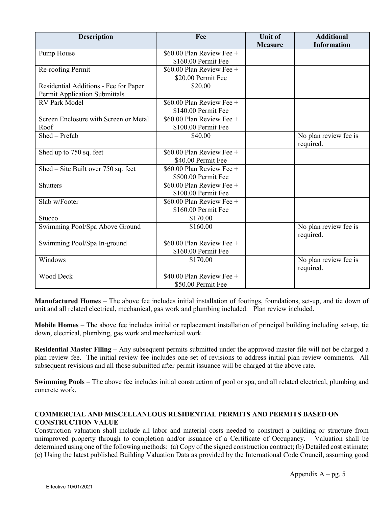| <b>Description</b>                    | Fee                         | <b>Unit of</b> | <b>Additional</b>     |
|---------------------------------------|-----------------------------|----------------|-----------------------|
|                                       |                             | <b>Measure</b> | <b>Information</b>    |
| Pump House                            | $$60.00$ Plan Review Fee +  |                |                       |
|                                       | \$160.00 Permit Fee         |                |                       |
| Re-roofing Permit                     | \$60.00 Plan Review Fee $+$ |                |                       |
|                                       | \$20.00 Permit Fee          |                |                       |
| Residential Additions - Fee for Paper | \$20.00                     |                |                       |
| Permit Application Submittals         |                             |                |                       |
| <b>RV Park Model</b>                  | $$60.00$ Plan Review Fee +  |                |                       |
|                                       | \$140.00 Permit Fee         |                |                       |
| Screen Enclosure with Screen or Metal | \$60.00 Plan Review Fee +   |                |                       |
| Roof                                  | \$100.00 Permit Fee         |                |                       |
| Shed - Prefab                         | \$40.00                     |                | No plan review fee is |
|                                       |                             |                | required.             |
| Shed up to 750 sq. feet               | \$60.00 Plan Review Fee +   |                |                       |
|                                       | \$40.00 Permit Fee          |                |                       |
| Shed - Site Built over 750 sq. feet   | $$60.00$ Plan Review Fee +  |                |                       |
|                                       | \$500.00 Permit Fee         |                |                       |
| <b>Shutters</b>                       | $$60.00$ Plan Review Fee +  |                |                       |
|                                       | \$100.00 Permit Fee         |                |                       |
| Slab w/Footer                         | \$60.00 Plan Review Fee +   |                |                       |
|                                       | \$160.00 Permit Fee         |                |                       |
| Stucco                                | \$170.00                    |                |                       |
| Swimming Pool/Spa Above Ground        | \$160.00                    |                | No plan review fee is |
|                                       |                             |                | required.             |
| Swimming Pool/Spa In-ground           | \$60.00 Plan Review Fee +   |                |                       |
|                                       | \$160.00 Permit Fee         |                |                       |
| Windows                               | \$170.00                    |                | No plan review fee is |
|                                       |                             |                | required.             |
| Wood Deck                             | \$40.00 Plan Review Fee +   |                |                       |
|                                       | \$50.00 Permit Fee          |                |                       |

**Manufactured Homes** – The above fee includes initial installation of footings, foundations, set-up, and tie down of unit and all related electrical, mechanical, gas work and plumbing included. Plan review included.

**Mobile Homes** – The above fee includes initial or replacement installation of principal building including set-up, tie down, electrical, plumbing, gas work and mechanical work.

**Residential Master Filing** – Any subsequent permits submitted under the approved master file will not be charged a plan review fee. The initial review fee includes one set of revisions to address initial plan review comments. All subsequent revisions and all those submitted after permit issuance will be charged at the above rate.

**Swimming Pools** – The above fee includes initial construction of pool or spa, and all related electrical, plumbing and concrete work.

### **COMMERCIAL AND MISCELLANEOUS RESIDENTIAL PERMITS AND PERMITS BASED ON CONSTRUCTION VALUE**

Construction valuation shall include all labor and material costs needed to construct a building or structure from unimproved property through to completion and/or issuance of a Certificate of Occupancy. Valuation shall be determined using one of the following methods: (a) Copy of the signed construction contract; (b) Detailed cost estimate; (c) Using the latest published Building Valuation Data as provided by the International Code Council, assuming good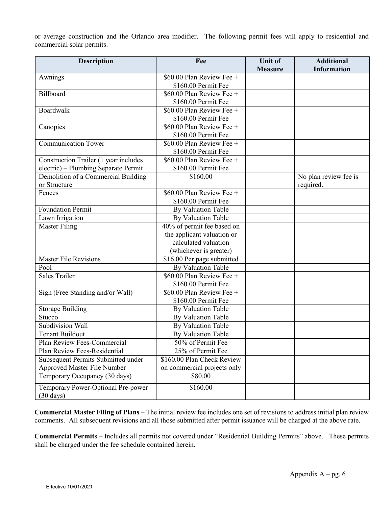or average construction and the Orlando area modifier. The following permit fees will apply to residential and commercial solar permits.

| <b>Description</b>                                        | Fee                         | <b>Unit of</b> | <b>Additional</b>     |
|-----------------------------------------------------------|-----------------------------|----------------|-----------------------|
|                                                           |                             | <b>Measure</b> | <b>Information</b>    |
| Awnings                                                   | \$60.00 Plan Review Fee +   |                |                       |
|                                                           | \$160.00 Permit Fee         |                |                       |
| Billboard                                                 | \$60.00 Plan Review Fee +   |                |                       |
|                                                           | \$160.00 Permit Fee         |                |                       |
| Boardwalk                                                 | \$60.00 Plan Review Fee +   |                |                       |
|                                                           | \$160.00 Permit Fee         |                |                       |
| Canopies                                                  | \$60.00 Plan Review Fee +   |                |                       |
|                                                           | \$160.00 Permit Fee         |                |                       |
| <b>Communication Tower</b>                                | $$60.00$ Plan Review Fee +  |                |                       |
|                                                           | \$160.00 Permit Fee         |                |                       |
| Construction Trailer (1 year includes                     | \$60.00 Plan Review Fee +   |                |                       |
| electric) - Plumbing Separate Permit                      | \$160.00 Permit Fee         |                |                       |
| Demolition of a Commercial Building                       | \$160.00                    |                | No plan review fee is |
| or Structure                                              |                             |                | required.             |
| Fences                                                    | $$60.00$ Plan Review Fee +  |                |                       |
|                                                           | \$160.00 Permit Fee         |                |                       |
| <b>Foundation Permit</b>                                  | By Valuation Table          |                |                       |
| Lawn Irrigation                                           | <b>By Valuation Table</b>   |                |                       |
| <b>Master Filing</b>                                      | 40% of permit fee based on  |                |                       |
|                                                           | the applicant valuation or  |                |                       |
|                                                           | calculated valuation        |                |                       |
|                                                           | (whichever is greater)      |                |                       |
| Master File Revisions                                     | \$16.00 Per page submitted  |                |                       |
| Pool                                                      | <b>By Valuation Table</b>   |                |                       |
| Sales Trailer                                             | \$60.00 Plan Review Fee +   |                |                       |
|                                                           | \$160.00 Permit Fee         |                |                       |
| Sign (Free Standing and/or Wall)                          | \$60.00 Plan Review Fee +   |                |                       |
|                                                           | \$160.00 Permit Fee         |                |                       |
| <b>Storage Building</b>                                   | By Valuation Table          |                |                       |
| Stucco                                                    | By Valuation Table          |                |                       |
| Subdivision Wall                                          | <b>By Valuation Table</b>   |                |                       |
| <b>Tenant Buildout</b>                                    | <b>By Valuation Table</b>   |                |                       |
| Plan Review Fees-Commercial                               | 50% of Permit Fee           |                |                       |
| Plan Review Fees-Residential                              | 25% of Permit Fee           |                |                       |
| Subsequent Permits Submitted under                        | \$160.00 Plan Check Review  |                |                       |
| Approved Master File Number                               | on commercial projects only |                |                       |
| Temporary Occupancy (30 days)                             | \$80.00                     |                |                       |
| Temporary Power-Optional Pre-power<br>$(30 \text{ days})$ | \$160.00                    |                |                       |

**Commercial Master Filing of Plans** – The initial review fee includes one set of revisions to address initial plan review comments. All subsequent revisions and all those submitted after permit issuance will be charged at the above rate.

**Commercial Permits** – Includes all permits not covered under "Residential Building Permits" above. These permits shall be charged under the fee schedule contained herein.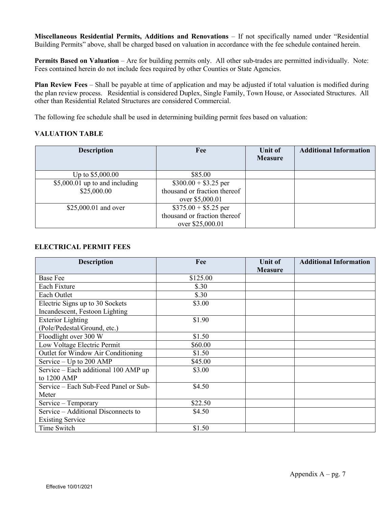**Miscellaneous Residential Permits, Additions and Renovations** – If not specifically named under "Residential Building Permits" above, shall be charged based on valuation in accordance with the fee schedule contained herein.

**Permits Based on Valuation** – Are for building permits only. All other sub-trades are permitted individually. Note: Fees contained herein do not include fees required by other Counties or State Agencies.

**Plan Review Fees** – Shall be payable at time of application and may be adjusted if total valuation is modified during the plan review process. Residential is considered Duplex, Single Family, Town House, or Associated Structures. All other than Residential Related Structures are considered Commercial.

The following fee schedule shall be used in determining building permit fees based on valuation:

### **VALUATION TABLE**

| <b>Description</b>             | Fee                          | Unit of<br><b>Measure</b> | <b>Additional Information</b> |
|--------------------------------|------------------------------|---------------------------|-------------------------------|
| Up to \$5,000.00               | \$85.00                      |                           |                               |
| \$5,000.01 up to and including | $$300.00 + $3.25$ per        |                           |                               |
| \$25,000.00                    | thousand or fraction thereof |                           |                               |
|                                | over \$5,000.01              |                           |                               |
| \$25,000.01 and over           | $$375.00 + $5.25$ per        |                           |                               |
|                                | thousand or fraction thereof |                           |                               |
|                                | over \$25,000.01             |                           |                               |

### **ELECTRICAL PERMIT FEES**

| <b>Description</b>                    | Fee      | Unit of        | <b>Additional Information</b> |
|---------------------------------------|----------|----------------|-------------------------------|
| <b>Base Fee</b>                       |          | <b>Measure</b> |                               |
|                                       | \$125.00 |                |                               |
| Each Fixture                          | \$.30    |                |                               |
| Each Outlet                           | \$.30    |                |                               |
| Electric Signs up to 30 Sockets       | \$3.00   |                |                               |
| Incandescent, Festoon Lighting        |          |                |                               |
| <b>Exterior Lighting</b>              | \$1.90   |                |                               |
| (Pole/Pedestal/Ground, etc.)          |          |                |                               |
| Floodlight over 300 W                 | \$1.50   |                |                               |
| Low Voltage Electric Permit           | \$60.00  |                |                               |
| Outlet for Window Air Conditioning    | \$1.50   |                |                               |
| Service $-$ Up to 200 AMP             | \$45.00  |                |                               |
| Service - Each additional 100 AMP up  | \$3.00   |                |                               |
| to 1200 AMP                           |          |                |                               |
| Service – Each Sub-Feed Panel or Sub- | \$4.50   |                |                               |
| Meter                                 |          |                |                               |
| Service - Temporary                   | \$22.50  |                |                               |
| Service – Additional Disconnects to   | \$4.50   |                |                               |
| <b>Existing Service</b>               |          |                |                               |
| Time Switch                           | \$1.50   |                |                               |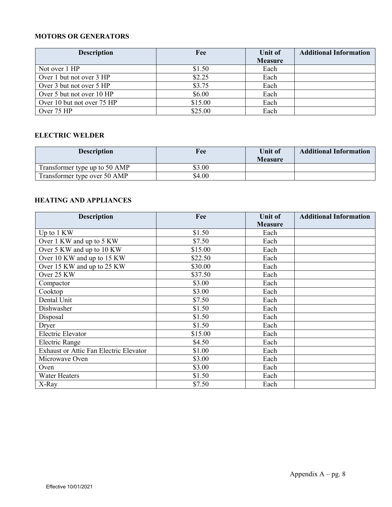### **MOTORS OR GENERATORS**

| <b>Description</b>         | Fee     | Unit of        | <b>Additional Information</b> |
|----------------------------|---------|----------------|-------------------------------|
|                            |         | <b>Measure</b> |                               |
| Not over 1 HP              | \$1.50  | Each           |                               |
| Over 1 but not over 3 HP   | \$2.25  | Each           |                               |
| Over 3 but not over 5 HP   | \$3.75  | Each           |                               |
| Over 5 but not over 10 HP  | \$6.00  | Each           |                               |
| Over 10 but not over 75 HP | \$15.00 | Each           |                               |
| Over 75 HP                 | \$25.00 | Each           |                               |

## **ELECTRIC WELDER**

| <b>Description</b>            | Fee    | <b>Unit of</b><br><b>Measure</b> | <b>Additional Information</b> |
|-------------------------------|--------|----------------------------------|-------------------------------|
| Transformer type up to 50 AMP | \$3.00 |                                  |                               |
| Transformer type over 50 AMP  | \$4.00 |                                  |                               |

### **HEATING AND APPLIANCES**

| <b>Description</b>                            | Fee     | Unit of        | <b>Additional Information</b> |
|-----------------------------------------------|---------|----------------|-------------------------------|
|                                               |         | <b>Measure</b> |                               |
| Up to 1 KW                                    | \$1.50  | Each           |                               |
| Over 1 KW and up to 5 KW                      | \$7.50  | Each           |                               |
| Over 5 KW and up to 10 KW                     | \$15.00 | Each           |                               |
| Over 10 KW and up to 15 KW                    | \$22.50 | Each           |                               |
| Over 15 KW and up to 25 KW                    | \$30.00 | Each           |                               |
| Over 25 KW                                    | \$37.50 | Each           |                               |
| Compactor                                     | \$3.00  | Each           |                               |
| Cooktop                                       | \$3.00  | Each           |                               |
| Dental Unit                                   | \$7.50  | Each           |                               |
| Dishwasher                                    | \$1.50  | Each           |                               |
| Disposal                                      | \$1.50  | Each           |                               |
| Dryer                                         | \$1.50  | Each           |                               |
| Electric Elevator                             | \$15.00 | Each           |                               |
| <b>Electric Range</b>                         | \$4.50  | Each           |                               |
| <b>Exhaust or Attic Fan Electric Elevator</b> | \$1.00  | Each           |                               |
| Microwave Oven                                | \$3.00  | Each           |                               |
| Oven                                          | \$3.00  | Each           |                               |
| <b>Water Heaters</b>                          | \$1.50  | Each           |                               |
| X-Ray                                         | \$7.50  | Each           |                               |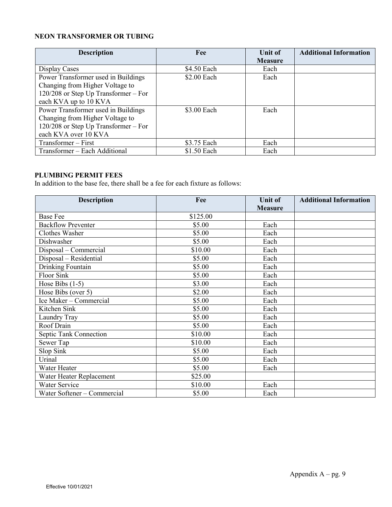## **NEON TRANSFORMER OR TUBING**

| <b>Description</b>                     | Fee         | Unit of        | <b>Additional Information</b> |
|----------------------------------------|-------------|----------------|-------------------------------|
|                                        |             | <b>Measure</b> |                               |
| Display Cases                          | \$4.50 Each | Each           |                               |
| Power Transformer used in Buildings    | \$2.00 Each | Each           |                               |
| Changing from Higher Voltage to        |             |                |                               |
| $120/208$ or Step Up Transformer – For |             |                |                               |
| each KVA up to 10 KVA                  |             |                |                               |
| Power Transformer used in Buildings    | \$3.00 Each | Each           |                               |
| Changing from Higher Voltage to        |             |                |                               |
| $120/208$ or Step Up Transformer – For |             |                |                               |
| each KVA over 10 KVA                   |             |                |                               |
| Transformer – First                    | \$3.75 Each | Each           |                               |
| Transformer - Each Additional          | \$1.50 Each | Each           |                               |

#### **PLUMBING PERMIT FEES**

In addition to the base fee, there shall be a fee for each fixture as follows:

| <b>Description</b>          | Fee      | <b>Unit of</b> | <b>Additional Information</b> |
|-----------------------------|----------|----------------|-------------------------------|
|                             |          | <b>Measure</b> |                               |
| <b>Base Fee</b>             | \$125.00 |                |                               |
| <b>Backflow Preventer</b>   | \$5.00   | Each           |                               |
| Clothes Washer              | \$5.00   | Each           |                               |
| Dishwasher                  | \$5.00   | Each           |                               |
| Disposal - Commercial       | \$10.00  | Each           |                               |
| Disposal – Residential      | \$5.00   | Each           |                               |
| Drinking Fountain           | \$5.00   | Each           |                               |
| Floor Sink                  | \$5.00   | Each           |                               |
| Hose Bibs $(1-5)$           | \$3.00   | Each           |                               |
| Hose Bibs (over 5)          | \$2.00   | Each           |                               |
| Ice Maker - Commercial      | \$5.00   | Each           |                               |
| Kitchen Sink                | \$5.00   | Each           |                               |
| Laundry Tray                | \$5.00   | Each           |                               |
| Roof Drain                  | \$5.00   | Each           |                               |
| Septic Tank Connection      | \$10.00  | Each           |                               |
| Sewer Tap                   | \$10.00  | Each           |                               |
| Slop Sink                   | \$5.00   | Each           |                               |
| Urinal                      | \$5.00   | Each           |                               |
| Water Heater                | \$5.00   | Each           |                               |
| Water Heater Replacement    | \$25.00  |                |                               |
| Water Service               | \$10.00  | Each           |                               |
| Water Softener - Commercial | \$5.00   | Each           |                               |